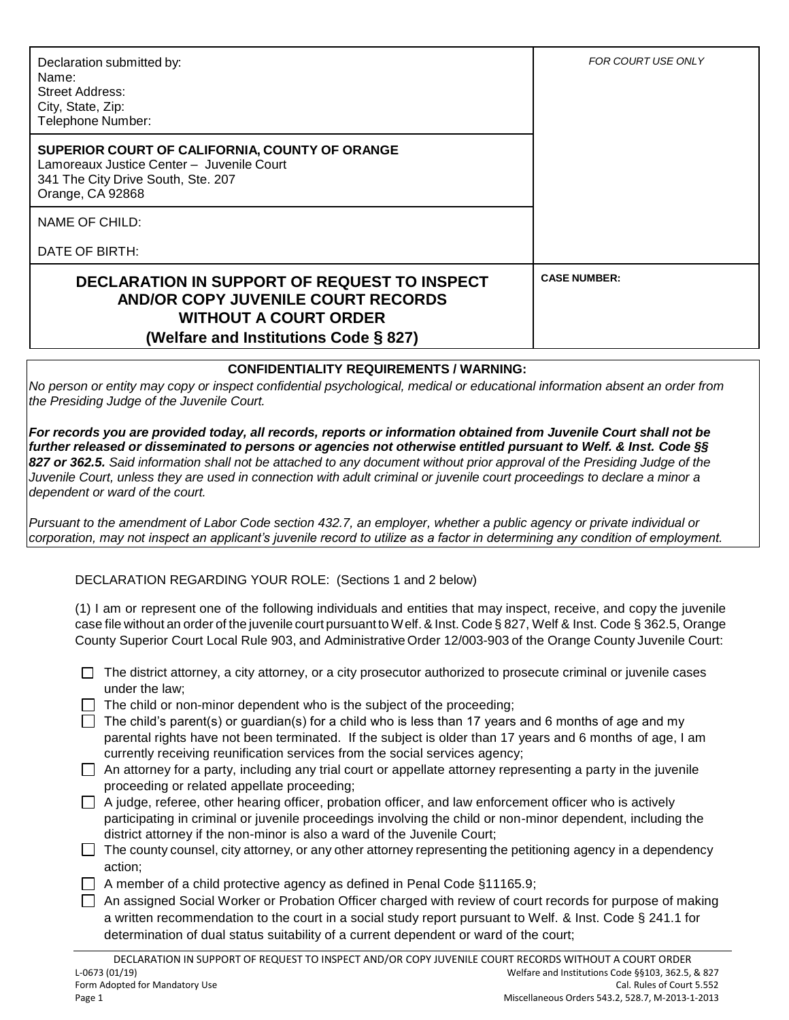| Declaration submitted by:<br>Name:<br>Street Address:<br>City, State, Zip:<br>Telephone Number:                                                                    | <b>FOR COURT USE ONLY</b> |
|--------------------------------------------------------------------------------------------------------------------------------------------------------------------|---------------------------|
| SUPERIOR COURT OF CALIFORNIA, COUNTY OF ORANGE<br>Lamoreaux Justice Center - Juvenile Court<br>341 The City Drive South, Ste. 207<br>Orange, CA 92868              |                           |
| NAME OF CHILD:                                                                                                                                                     |                           |
| DATE OF BIRTH:                                                                                                                                                     |                           |
| DECLARATION IN SUPPORT OF REQUEST TO INSPECT<br><b>AND/OR COPY JUVENILE COURT RECORDS</b><br><b>WITHOUT A COURT ORDER</b><br>(Welfare and Institutions Code § 827) | <b>CASE NUMBER:</b>       |

## **CONFIDENTIALITY REQUIREMENTS / WARNING:**

*No person or entity may copy or inspect confidential psychological, medical or educational information absent an order from the Presiding Judge of the Juvenile Court.*

*For records you are provided today, all records, reports or information obtained from Juvenile Court shall not be further released or disseminated to persons or agencies not otherwise entitled pursuant to Welf. & Inst. Code §§ 827 or 362.5. Said information shall not be attached to any document without prior approval of the Presiding Judge of the Juvenile Court, unless they are used in connection with adult criminal or juvenile court proceedings to declare a minor a dependent or ward of the court.* 

*Pursuant to the amendment of Labor Code section 432.7, an employer, whether a public agency or private individual or corporation, may not inspect an applicant's juvenile record to utilize as a factor in determining any condition of employment.*

## DECLARATION REGARDING YOUR ROLE: (Sections 1 and 2 below)

(1) I am or represent one of the following individuals and entities that may inspect, receive, and copy the juvenile case file without an order of the juvenile court pursuant to Welf.& Inst. Code § 827, Welf & Inst. Code § 362.5, Orange County Superior Court Local Rule 903, and Administrative Order 12/003-903 of the Orange County Juvenile Court:

| □ The district attorney, a city attorney, or a city prosecutor authorized to prosecute criminal or juvenile cases |
|-------------------------------------------------------------------------------------------------------------------|
| under the law;                                                                                                    |

- $\Box$  The child or non-minor dependent who is the subject of the proceeding;
- The child's parent(s) or guardian(s) for a child who is less than 17 years and 6 months of age and my parental rights have not been terminated. If the subject is older than 17 years and 6 months of age, I am currently receiving reunification services from the social services agency;
- $\Box$  An attorney for a party, including any trial court or appellate attorney representing a party in the juvenile proceeding or related appellate proceeding;
- $\Box$  A judge, referee, other hearing officer, probation officer, and law enforcement officer who is actively participating in criminal or juvenile proceedings involving the child or non-minor dependent, including the district attorney if the non-minor is also a ward of the Juvenile Court;
- $\Box$  The county counsel, city attorney, or any other attorney representing the petitioning agency in a dependency action;
- $\Box$  A member of a child protective agency as defined in Penal Code §11165.9;
- An assigned Social Worker or Probation Officer charged with review of court records for purpose of making a written recommendation to the court in a social study report pursuant to Welf. & Inst. Code § 241.1 for determination of dual status suitability of a current dependent or ward of the court;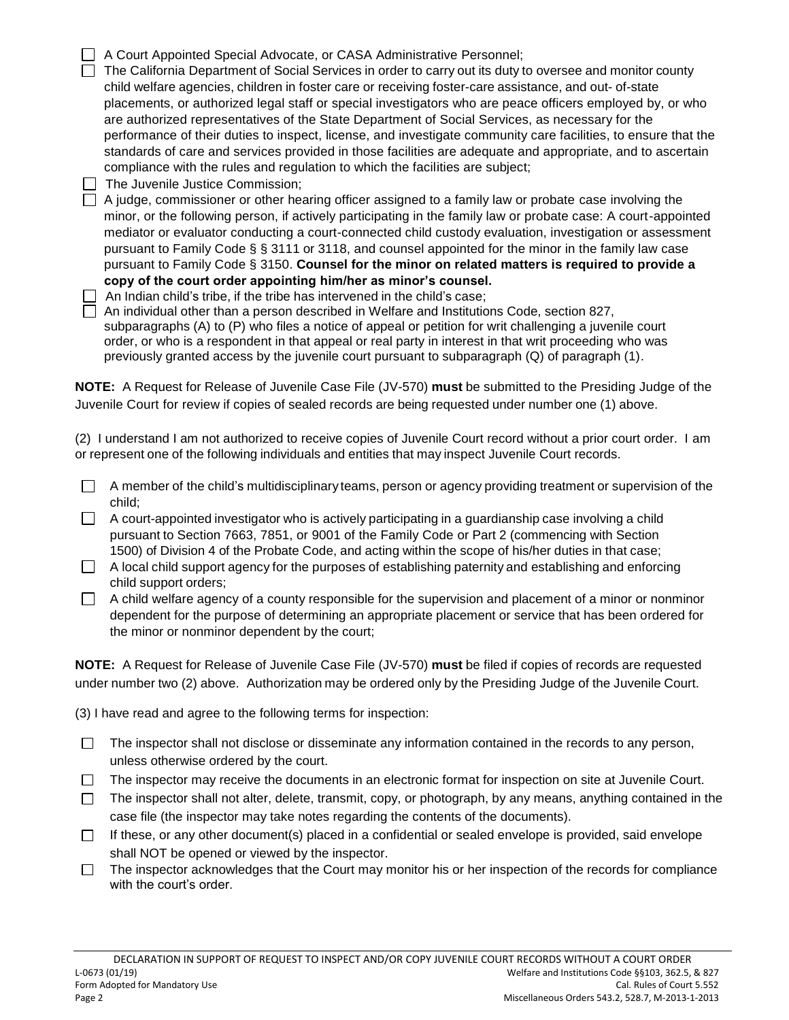| A Court Appointed Special Advocate, or CASA Administrative Personnel;                                                                                                                                             |
|-------------------------------------------------------------------------------------------------------------------------------------------------------------------------------------------------------------------|
| The California Department of Social Services in order to carry out its duty to oversee and monitor county                                                                                                         |
| child welfare agencies, children in foster care or receiving foster-care assistance, and out- of-state                                                                                                            |
| placements, or authorized legal staff or special investigators who are peace officers employed by, or who                                                                                                         |
| are authorized representatives of the State Department of Social Services, as necessary for the                                                                                                                   |
| performance of their duties to inspect, license, and investigate community care facilities, to ensure that the                                                                                                    |
| standards of care and services provided in those facilities are adequate and appropriate, and to ascertain                                                                                                        |
| compliance with the rules and regulation to which the facilities are subject;                                                                                                                                     |
| The Juvenile Justice Commission;                                                                                                                                                                                  |
| A judge, commissioner or other hearing officer assigned to a family law or probate case involving the                                                                                                             |
| minor, or the following person, if actively participating in the family law or probate case: A court-appointed                                                                                                    |
| mediator or evaluator conducting a court-connected child custody evaluation, investigation or assessment                                                                                                          |
| pursuant to Family Code § § 3111 or 3118, and counsel appointed for the minor in the family law case                                                                                                              |
| pursuant to Family Code § 3150. Counsel for the minor on related matters is required to provide a                                                                                                                 |
| copy of the court order appointing him/her as minor's counsel.                                                                                                                                                    |
| An Indian child's tribe, if the tribe has intervened in the child's case;                                                                                                                                         |
| An individual other than a person described in Welfare and Institutions Code, section 827,                                                                                                                        |
| subparagraphs (A) to (P) who files a notice of appeal or petition for writ challenging a juvenile court<br>order, or who is a respondent in that appeal or real party in interest in that writ proceeding who was |
| previously granted access by the juvenile court pursuant to subparagraph $(Q)$ of paragraph $(1)$ .                                                                                                               |
|                                                                                                                                                                                                                   |
| <b>NOTE:</b> A Request for Release of Juvenile Case File (JV-570) must be submitted to the Presiding Judge of the                                                                                                 |
| Juvenile Court for review if copies of sealed records are being requested under number one (1) above.                                                                                                             |
|                                                                                                                                                                                                                   |

(2) I understand I am not authorized to receive copies of Juvenile Court record without a prior court order. I am or represent one of the following individuals and entities that may inspect Juvenile Court records.

 $\Box$ A member of the child's multidisciplinary teams, person or agency providing treatment or supervision of the child;

 $\Box$  A court-appointed investigator who is actively participating in a guardianship case involving a child pursuant to Section 7663, 7851, or 9001 of the Family Code or Part 2 (commencing with Section 1500) of Division 4 of the Probate Code, and acting within the scope of his/her duties in that case;

- $\Box$  A local child support agency for the purposes of establishing paternity and establishing and enforcing child support orders;
- $\Box$  A child welfare agency of a county responsible for the supervision and placement of a minor or nonminor dependent for the purpose of determining an appropriate placement or service that has been ordered for the minor or nonminor dependent by the court;

**NOTE:** A Request for Release of Juvenile Case File (JV-570) **must** be filed if copies of records are requested under number two (2) above. Authorization may be ordered only by the Presiding Judge of the Juvenile Court.

(3) I have read and agree to the following terms for inspection:

- The inspector shall not disclose or disseminate any information contained in the records to any person,  $\Box$ unless otherwise ordered by the court.
- The inspector may receive the documents in an electronic format for inspection on site at Juvenile Court.  $\Box$
- $\Box$  The inspector shall not alter, delete, transmit, copy, or photograph, by any means, anything contained in the case file (the inspector may take notes regarding the contents of the documents).
- If these, or any other document(s) placed in a confidential or sealed envelope is provided, said envelope shall NOT be opened or viewed by the inspector.

The inspector acknowledges that the Court may monitor his or her inspection of the records for compliance  $\Box$ with the court's order.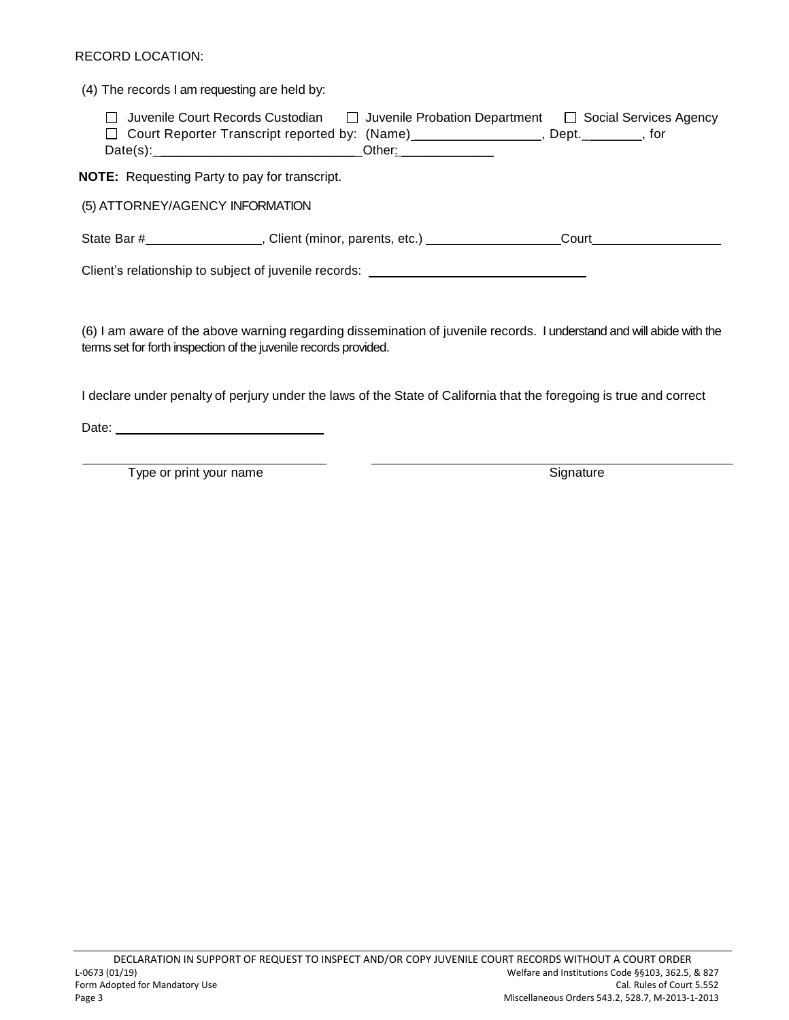## RECORD LOCATION:

(4) The records I am requesting are held by:

| Juvenile Court Records Custodian                                  | □ Juvenile Probation Department | □ Social Services Agency |
|-------------------------------------------------------------------|---------------------------------|--------------------------|
| □ Court Reporter Transcript reported by: (Name)__________________ |                                 | Dept. tor                |
| Date(s):                                                          | Other:                          |                          |

**NOTE:** Requesting Party to pay for transcript.

(5) ATTORNEY/AGENCY INFORMATION

State Bar # , Client (minor, parents, etc.) Court Court

Client's relationship to subject of juvenile records:

(6) I am aware of the above warning regarding dissemination of juvenile records. I understand and will abide with the terms set for forth inspection of the juvenile records provided.

I declare under penalty of perjury under the laws of the State of California that the foregoing is true and correct

Date: Note: Note: Note: Note: Note: Note: Note: Note: Note: Note: Note: Note: Note: Note: Note: Note: Note: Note: Note: Note: Note: Note: Note: Note: Note: Note: Note: Note: Note: Note: Note: Note: Note: Note: Note: Note:

Type or print your name states and states of the Signature Signature